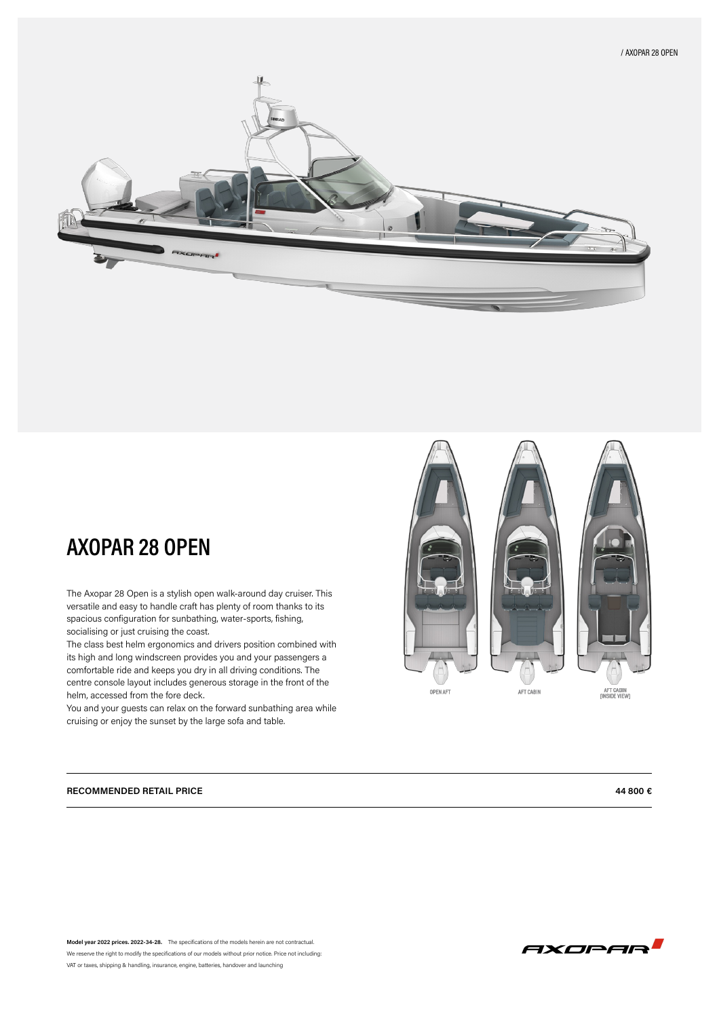

## **AXOPAR 28 OPEN**

The Axopar 28 Open is a stylish open walk-around day cruiser. This versatile and easy to handle craft has plenty of room thanks to its spacious configuration for sunbathing, water-sports, fishing, socialising or just cruising the coast.

The class best helm ergonomics and drivers position combined with its high and long windscreen provides you and your passengers a comfortable ride and keeps you dry in all driving conditions. The centre console layout includes generous storage in the front of the helm, accessed from the fore deck.

You and your guests can relax on the forward sunbathing area while cruising or enjoy the sunset by the large sofa and table.





**Model year 2022 prices. 2022-34-28.** The specifications of the models herein are not contractual. We reserve the right to modify the specifications of our models without prior notice. Price not including: VAT or taxes, shipping & handling, insurance, engine, batteries, handover and launching



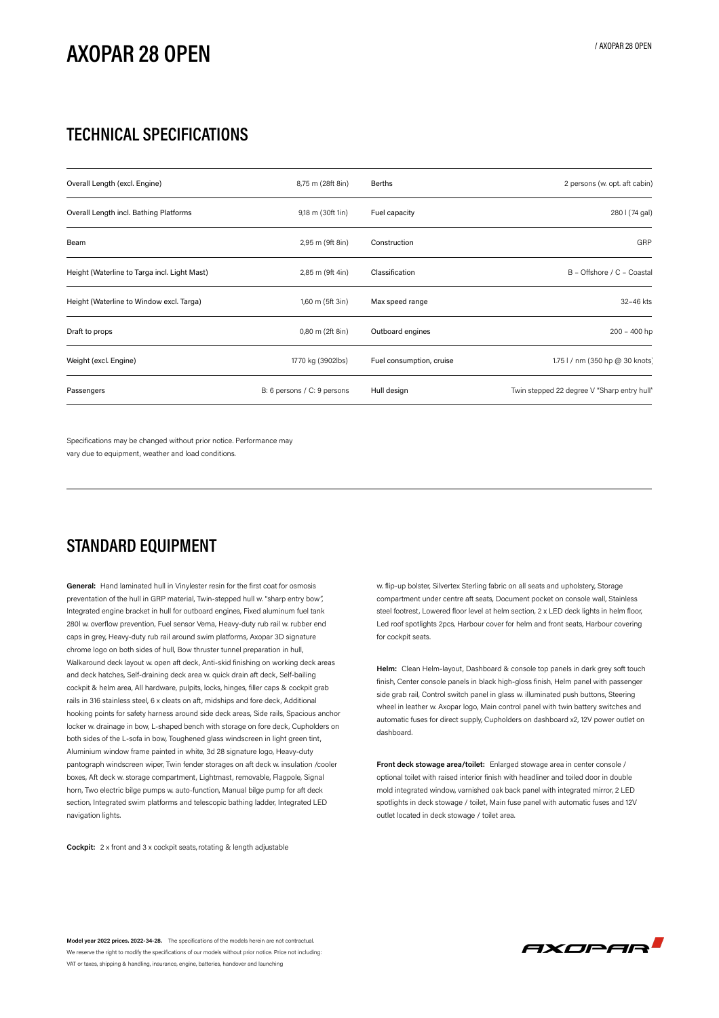# **AXOPAR 28 OPEN**

### **TECHNICAL SPECIFICATIONS**

| Overall Length (excl. Engine)                | 8,75 m (28ft 8in)           | <b>Berths</b>            | 2 persons (w. opt. aft cabin)               |
|----------------------------------------------|-----------------------------|--------------------------|---------------------------------------------|
| Overall Length incl. Bathing Platforms       | 9,18 m (30ft 1in)           | Fuel capacity            | 280 l (74 gal)                              |
| Beam                                         | 2,95 m (9ft 8in)            | Construction             | GRP                                         |
| Height (Waterline to Targa incl. Light Mast) | 2,85 m (9ft 4in)            | Classification           | B - Offshore / C - Coastal                  |
| Height (Waterline to Window excl. Targa)     | 1,60 m (5ft 3in)            | Max speed range          | 32-46 kts                                   |
| Draft to props                               | 0,80 m (2ft 8in)            | Outboard engines         | $200 - 400$ hp                              |
| Weight (excl. Engine)                        | 1770 kg (3902lbs)           | Fuel consumption, cruise | 1.75   / nm (350 hp @ 30 knots)             |
| Passengers                                   | B: 6 persons / C: 9 persons | Hull design              | Twin stepped 22 degree V "Sharp entry hull" |

Specifications may be changed without prior notice. Performance may vary due to equipment, weather and load conditions.

### **STANDARD EQUIPMENT**

**General:** Hand laminated hull in Vinylester resin for the first coat for osmosis preventation of the hull in GRP material, Twin-stepped hull w. "sharp entry bow", Integrated engine bracket in hull for outboard engines, Fixed aluminum fuel tank 280l w. overflow prevention, Fuel sensor Vema, Heavy-duty rub rail w. rubber end caps in grey, Heavy-duty rub rail around swim platforms, Axopar 3D signature chrome logo on both sides of hull, Bow thruster tunnel preparation in hull, Walkaround deck layout w. open aft deck, Anti-skid finishing on working deck areas and deck hatches, Self-draining deck area w. quick drain aft deck, Self-bailing cockpit & helm area, All hardware, pulpits, locks, hinges, filler caps & cockpit grab rails in 316 stainless steel, 6 x cleats on aft, midships and fore deck, Additional hooking points for safety harness around side deck areas, Side rails, Spacious anchor locker w. drainage in bow, L-shaped bench with storage on fore deck, Cupholders on both sides of the L-sofa in bow, Toughened glass windscreen in light green tint, Aluminium window frame painted in white, 3d 28 signature logo, Heavy-duty pantograph windscreen wiper, Twin fender storages on aft deck w. insulation /cooler boxes, Aft deck w. storage compartment, Lightmast, removable, Flagpole, Signal horn, Two electric bilge pumps w. auto-function, Manual bilge pump for aft deck section, Integrated swim platforms and telescopic bathing ladder, Integrated LED navigation lights.

**Cockpit:** 2 x front and 3 x cockpit seats, rotating & length adjustable

w. flip-up bolster, Silvertex Sterling fabric on all seats and upholstery, Storage compartment under centre aft seats, Document pocket on console wall, Stainless steel footrest, Lowered floor level at helm section, 2 x LED deck lights in helm floor, Led roof spotlights 2pcs, Harbour cover for helm and front seats, Harbour covering for cockpit seats.

**Helm:** Clean Helm-layout, Dashboard & console top panels in dark grey soft touch finish, Center console panels in black high-gloss finish, Helm panel with passenger side grab rail, Control switch panel in glass w. illuminated push buttons, Steering wheel in leather w. Axopar logo, Main control panel with twin battery switches and automatic fuses for direct supply, Cupholders on dashboard x2, 12V power outlet on dashboard.

**Front deck stowage area/toilet:** Enlarged stowage area in center console / optional toilet with raised interior finish with headliner and toiled door in double mold integrated window, varnished oak back panel with integrated mirror, 2 LED spotlights in deck stowage / toilet, Main fuse panel with automatic fuses and 12V outlet located in deck stowage / toilet area.

**Model year 2022 prices. 2022-34-28.** The specifications of the models herein are not contractual. We reserve the right to modify the specifications of our models without prior notice. Price not including VAT or taxes, shipping & handling, insurance, engine, batteries, handover and launching